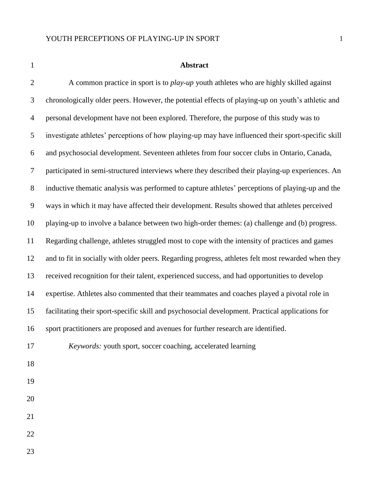#### **Abstract**

2 A common practice in sport is to *play-up* youth athletes who are highly skilled against chronologically older peers. However, the potential effects of playing-up on youth's athletic and personal development have not been explored. Therefore, the purpose of this study was to investigate athletes' perceptions of how playing-up may have influenced their sport-specific skill and psychosocial development. Seventeen athletes from four soccer clubs in Ontario, Canada, participated in semi-structured interviews where they described their playing-up experiences. An inductive thematic analysis was performed to capture athletes' perceptions of playing-up and the ways in which it may have affected their development. Results showed that athletes perceived playing-up to involve a balance between two high-order themes: (a) challenge and (b) progress. Regarding challenge, athletes struggled most to cope with the intensity of practices and games and to fit in socially with older peers. Regarding progress, athletes felt most rewarded when they received recognition for their talent, experienced success, and had opportunities to develop expertise. Athletes also commented that their teammates and coaches played a pivotal role in facilitating their sport-specific skill and psychosocial development. Practical applications for sport practitioners are proposed and avenues for further research are identified. *Keywords:* youth sport, soccer coaching, accelerated learning 

- 
-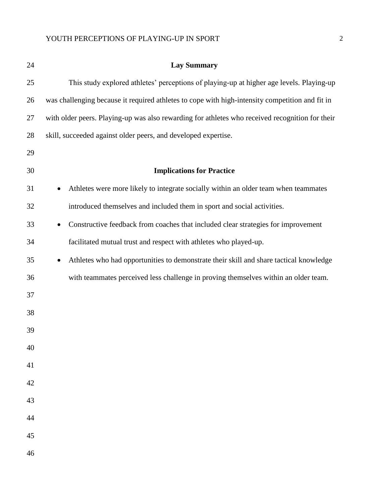| 24 | <b>Lay Summary</b>                                                                                  |
|----|-----------------------------------------------------------------------------------------------------|
| 25 | This study explored athletes' perceptions of playing-up at higher age levels. Playing-up            |
| 26 | was challenging because it required athletes to cope with high-intensity competition and fit in     |
| 27 | with older peers. Playing-up was also rewarding for athletes who received recognition for their     |
| 28 | skill, succeeded against older peers, and developed expertise.                                      |
| 29 |                                                                                                     |
| 30 | <b>Implications for Practice</b>                                                                    |
| 31 | Athletes were more likely to integrate socially within an older team when teammates                 |
| 32 | introduced themselves and included them in sport and social activities.                             |
| 33 | Constructive feedback from coaches that included clear strategies for improvement<br>$\bullet$      |
| 34 | facilitated mutual trust and respect with athletes who played-up.                                   |
| 35 | Athletes who had opportunities to demonstrate their skill and share tactical knowledge<br>$\bullet$ |
| 36 | with teammates perceived less challenge in proving themselves within an older team.                 |
| 37 |                                                                                                     |
| 38 |                                                                                                     |
| 39 |                                                                                                     |
| 40 |                                                                                                     |
| 41 |                                                                                                     |
| 42 |                                                                                                     |
| 43 |                                                                                                     |
| 44 |                                                                                                     |
| 45 |                                                                                                     |
| 46 |                                                                                                     |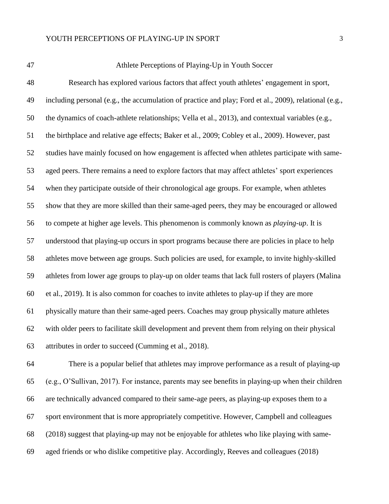| ۰. |
|----|
|    |

### Athlete Perceptions of Playing-Up in Youth Soccer

 Research has explored various factors that affect youth athletes' engagement in sport, including personal (e.g., the accumulation of practice and play; Ford et al., 2009), relational (e.g., the dynamics of coach-athlete relationships; Vella et al., 2013), and contextual variables (e.g., the birthplace and relative age effects; Baker et al., 2009; Cobley et al., 2009). However, past studies have mainly focused on how engagement is affected when athletes participate with same- aged peers. There remains a need to explore factors that may affect athletes' sport experiences when they participate outside of their chronological age groups. For example, when athletes show that they are more skilled than their same-aged peers, they may be encouraged or allowed to compete at higher age levels. This phenomenon is commonly known as *playing-up*. It is understood that playing-up occurs in sport programs because there are policies in place to help athletes move between age groups. Such policies are used, for example, to invite highly-skilled athletes from lower age groups to play-up on older teams that lack full rosters of players (Malina et al., 2019). It is also common for coaches to invite athletes to play-up if they are more physically mature than their same-aged peers. Coaches may group physically mature athletes with older peers to facilitate skill development and prevent them from relying on their physical attributes in order to succeed (Cumming et al., 2018).

 There is a popular belief that athletes may improve performance as a result of playing-up (e.g., O'Sullivan, 2017). For instance, parents may see benefits in playing-up when their children are technically advanced compared to their same-age peers, as playing-up exposes them to a sport environment that is more appropriately competitive. However, Campbell and colleagues (2018) suggest that playing-up may not be enjoyable for athletes who like playing with same-aged friends or who dislike competitive play. Accordingly, Reeves and colleagues (2018)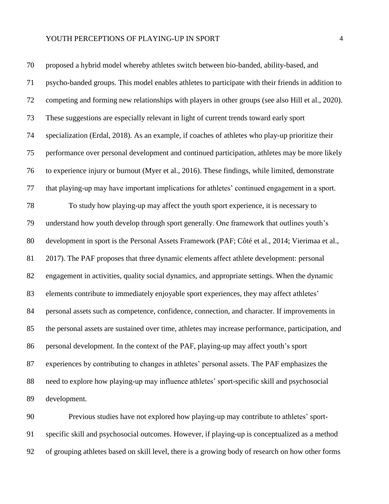| 70 | proposed a hybrid model whereby athletes switch between bio-banded, ability-based, and             |
|----|----------------------------------------------------------------------------------------------------|
| 71 | psycho-banded groups. This model enables athletes to participate with their friends in addition to |
| 72 | competing and forming new relationships with players in other groups (see also Hill et al., 2020). |
| 73 | These suggestions are especially relevant in light of current trends toward early sport            |
| 74 | specialization (Erdal, 2018). As an example, if coaches of athletes who play-up prioritize their   |
| 75 | performance over personal development and continued participation, athletes may be more likely     |
| 76 | to experience injury or burnout (Myer et al., 2016). These findings, while limited, demonstrate    |
| 77 | that playing-up may have important implications for athletes' continued engagement in a sport.     |
| 78 | To study how playing-up may affect the youth sport experience, it is necessary to                  |
| 79 | understand how youth develop through sport generally. One framework that outlines youth's          |
| 80 | development in sport is the Personal Assets Framework (PAF; Côté et al., 2014; Vierimaa et al.,    |
| 81 | 2017). The PAF proposes that three dynamic elements affect athlete development: personal           |
| 82 | engagement in activities, quality social dynamics, and appropriate settings. When the dynamic      |
| 83 | elements contribute to immediately enjoyable sport experiences, they may affect athletes'          |
| 84 | personal assets such as competence, confidence, connection, and character. If improvements in      |
| 85 | the personal assets are sustained over time, athletes may increase performance, participation, and |
| 86 | personal development. In the context of the PAF, playing-up may affect youth's sport               |
| 87 | experiences by contributing to changes in athletes' personal assets. The PAF emphasizes the        |
| 88 | need to explore how playing-up may influence athletes' sport-specific skill and psychosocial       |
| 89 | development.                                                                                       |

 Previous studies have not explored how playing-up may contribute to athletes' sport- specific skill and psychosocial outcomes. However, if playing-up is conceptualized as a method of grouping athletes based on skill level, there is a growing body of research on how other forms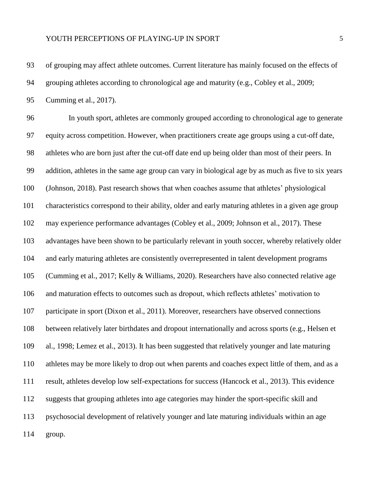of grouping may affect athlete outcomes. Current literature has mainly focused on the effects of

grouping athletes according to chronological age and maturity (e.g., Cobley et al., 2009;

Cumming et al., 2017).

 In youth sport, athletes are commonly grouped according to chronological age to generate equity across competition. However, when practitioners create age groups using a cut-off date, athletes who are born just after the cut-off date end up being older than most of their peers. In addition, athletes in the same age group can vary in biological age by as much as five to six years (Johnson, 2018). Past research shows that when coaches assume that athletes' physiological characteristics correspond to their ability, older and early maturing athletes in a given age group may experience performance advantages (Cobley et al., 2009; Johnson et al., 2017). These advantages have been shown to be particularly relevant in youth soccer, whereby relatively older and early maturing athletes are consistently overrepresented in talent development programs (Cumming et al., 2017; Kelly & Williams, 2020). Researchers have also connected relative age and maturation effects to outcomes such as dropout, which reflects athletes' motivation to participate in sport (Dixon et al., 2011). Moreover, researchers have observed connections between relatively later birthdates and dropout internationally and across sports (e.g., Helsen et al., 1998; Lemez et al., 2013). It has been suggested that relatively younger and late maturing athletes may be more likely to drop out when parents and coaches expect little of them, and as a result, athletes develop low self-expectations for success (Hancock et al., 2013). This evidence suggests that grouping athletes into age categories may hinder the sport-specific skill and psychosocial development of relatively younger and late maturing individuals within an age group.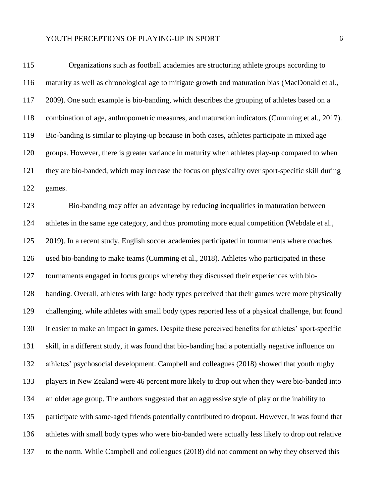## YOUTH PERCEPTIONS OF PLAYING-UP IN SPORT  $\qquad \qquad \, 6$

| 115 | Organizations such as football academies are structuring athlete groups according to                |
|-----|-----------------------------------------------------------------------------------------------------|
| 116 | maturity as well as chronological age to mitigate growth and maturation bias (MacDonald et al.,     |
| 117 | 2009). One such example is bio-banding, which describes the grouping of athletes based on a         |
| 118 | combination of age, anthropometric measures, and maturation indicators (Cumming et al., 2017).      |
| 119 | Bio-banding is similar to playing-up because in both cases, athletes participate in mixed age       |
| 120 | groups. However, there is greater variance in maturity when athletes play-up compared to when       |
| 121 | they are bio-banded, which may increase the focus on physicality over sport-specific skill during   |
| 122 | games.                                                                                              |
| 123 | Bio-banding may offer an advantage by reducing inequalities in maturation between                   |
| 124 | athletes in the same age category, and thus promoting more equal competition (Webdale et al.,       |
| 125 | 2019). In a recent study, English soccer academies participated in tournaments where coaches        |
| 126 | used bio-banding to make teams (Cumming et al., 2018). Athletes who participated in these           |
| 127 | tournaments engaged in focus groups whereby they discussed their experiences with bio-              |
| 128 | banding. Overall, athletes with large body types perceived that their games were more physically    |
| 129 | challenging, while athletes with small body types reported less of a physical challenge, but found  |
| 130 | it easier to make an impact in games. Despite these perceived benefits for athletes' sport-specific |
| 131 | skill, in a different study, it was found that bio-banding had a potentially negative influence on  |
| 132 | athletes' psychosocial development. Campbell and colleagues (2018) showed that youth rugby          |
| 133 | players in New Zealand were 46 percent more likely to drop out when they were bio-banded into       |
| 134 | an older age group. The authors suggested that an aggressive style of play or the inability to      |
| 135 | participate with same-aged friends potentially contributed to dropout. However, it was found that   |
| 136 | athletes with small body types who were bio-banded were actually less likely to drop out relative   |
| 137 | to the norm. While Campbell and colleagues (2018) did not comment on why they observed this         |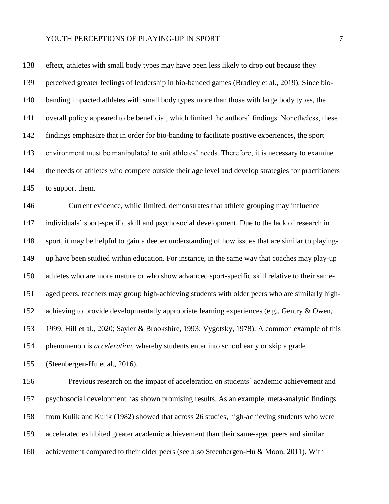effect, athletes with small body types may have been less likely to drop out because they perceived greater feelings of leadership in bio-banded games (Bradley et al., 2019). Since bio-140 banding impacted athletes with small body types more than those with large body types, the overall policy appeared to be beneficial, which limited the authors' findings. Nonetheless, these findings emphasize that in order for bio-banding to facilitate positive experiences, the sport environment must be manipulated to suit athletes' needs. Therefore, it is necessary to examine the needs of athletes who compete outside their age level and develop strategies for practitioners to support them.

 Current evidence, while limited, demonstrates that athlete grouping may influence individuals' sport-specific skill and psychosocial development. Due to the lack of research in sport, it may be helpful to gain a deeper understanding of how issues that are similar to playing- up have been studied within education. For instance, in the same way that coaches may play-up athletes who are more mature or who show advanced sport-specific skill relative to their same- aged peers, teachers may group high-achieving students with older peers who are similarly high-152 achieving to provide developmentally appropriate learning experiences (e.g., Gentry & Owen, 1999; Hill et al., 2020; Sayler & Brookshire, 1993; Vygotsky, 1978). A common example of this phenomenon is *acceleration*, whereby students enter into school early or skip a grade (Steenbergen-Hu et al., 2016).

 Previous research on the impact of acceleration on students' academic achievement and psychosocial development has shown promising results. As an example, meta-analytic findings from Kulik and Kulik (1982) showed that across 26 studies, high-achieving students who were accelerated exhibited greater academic achievement than their same-aged peers and similar achievement compared to their older peers (see also Steenbergen-Hu & Moon, 2011). With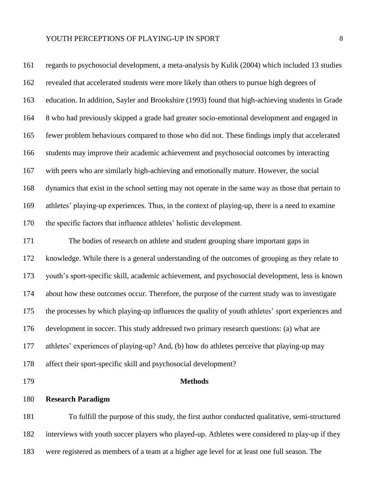regards to psychosocial development, a meta-analysis by Kulik (2004) which included 13 studies revealed that accelerated students were more likely than others to pursue high degrees of education. In addition, Sayler and Brookshire (1993) found that high-achieving students in Grade 8 who had previously skipped a grade had greater socio-emotional development and engaged in fewer problem behaviours compared to those who did not. These findings imply that accelerated students may improve their academic achievement and psychosocial outcomes by interacting with peers who are similarly high-achieving and emotionally mature. However, the social dynamics that exist in the school setting may not operate in the same way as those that pertain to athletes' playing-up experiences. Thus, in the context of playing-up, there is a need to examine the specific factors that influence athletes' holistic development. The bodies of research on athlete and student grouping share important gaps in knowledge. While there is a general understanding of the outcomes of grouping as they relate to youth's sport-specific skill, academic achievement, and psychosocial development, less is known

about how these outcomes occur. Therefore, the purpose of the current study was to investigate

the processes by which playing-up influences the quality of youth athletes' sport experiences and

development in soccer. This study addressed two primary research questions: (a) what are

athletes' experiences of playing-up? And, (b) how do athletes perceive that playing-up may

affect their sport-specific skill and psychosocial development?

#### **Methods**

**Research Paradigm**

 To fulfill the purpose of this study, the first author conducted qualitative, semi-structured interviews with youth soccer players who played-up. Athletes were considered to play-up if they were registered as members of a team at a higher age level for at least one full season. The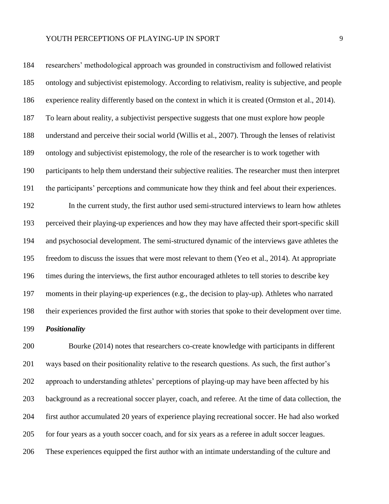researchers' methodological approach was grounded in constructivism and followed relativist ontology and subjectivist epistemology. According to relativism, reality is subjective, and people experience reality differently based on the context in which it is created (Ormston et al., 2014). To learn about reality, a subjectivist perspective suggests that one must explore how people understand and perceive their social world (Willis et al., 2007). Through the lenses of relativist ontology and subjectivist epistemology, the role of the researcher is to work together with participants to help them understand their subjective realities. The researcher must then interpret the participants' perceptions and communicate how they think and feel about their experiences. In the current study, the first author used semi-structured interviews to learn how athletes perceived their playing-up experiences and how they may have affected their sport-specific skill and psychosocial development. The semi-structured dynamic of the interviews gave athletes the freedom to discuss the issues that were most relevant to them (Yeo et al., 2014). At appropriate times during the interviews, the first author encouraged athletes to tell stories to describe key moments in their playing-up experiences (e.g., the decision to play-up). Athletes who narrated their experiences provided the first author with stories that spoke to their development over time. *Positionality*

 Bourke (2014) notes that researchers co-create knowledge with participants in different ways based on their positionality relative to the research questions. As such, the first author's approach to understanding athletes' perceptions of playing-up may have been affected by his background as a recreational soccer player, coach, and referee. At the time of data collection, the first author accumulated 20 years of experience playing recreational soccer. He had also worked for four years as a youth soccer coach, and for six years as a referee in adult soccer leagues. These experiences equipped the first author with an intimate understanding of the culture and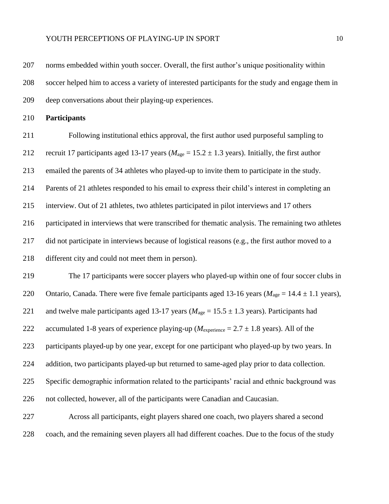norms embedded within youth soccer. Overall, the first author's unique positionality within soccer helped him to access a variety of interested participants for the study and engage them in deep conversations about their playing-up experiences.

**Participants**

 Following institutional ethics approval, the first author used purposeful sampling to 212 recruit 17 participants aged 13-17 years ( $M_{\text{age}} = 15.2 \pm 1.3$  years). Initially, the first author emailed the parents of 34 athletes who played-up to invite them to participate in the study. Parents of 21 athletes responded to his email to express their child's interest in completing an interview. Out of 21 athletes, two athletes participated in pilot interviews and 17 others participated in interviews that were transcribed for thematic analysis. The remaining two athletes did not participate in interviews because of logistical reasons (e.g., the first author moved to a different city and could not meet them in person).

 The 17 participants were soccer players who played-up within one of four soccer clubs in 220 Ontario, Canada. There were five female participants aged 13-16 years ( $M_{\text{age}} = 14.4 \pm 1.1$  years), 221 and twelve male participants aged 13-17 years ( $M_{\text{age}} = 15.5 \pm 1.3$  years). Participants had 222 accumulated 1-8 years of experience playing-up ( $M_{\text{experience}} = 2.7 \pm 1.8$  years). All of the participants played-up by one year, except for one participant who played-up by two years. In addition, two participants played-up but returned to same-aged play prior to data collection. Specific demographic information related to the participants' racial and ethnic background was not collected, however, all of the participants were Canadian and Caucasian.

 Across all participants, eight players shared one coach, two players shared a second coach, and the remaining seven players all had different coaches. Due to the focus of the study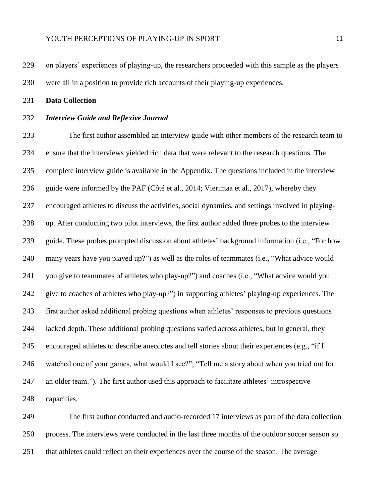on players' experiences of playing-up, the researchers proceeded with this sample as the players were all in a position to provide rich accounts of their playing-up experiences.

**Data Collection**

#### *Interview Guide and Reflexive Journal*

 The first author assembled an interview guide with other members of the research team to ensure that the interviews yielded rich data that were relevant to the research questions. The complete interview guide is available in the Appendix. The questions included in the interview guide were informed by the PAF (Côté et al., 2014; Vierimaa et al., 2017), whereby they encouraged athletes to discuss the activities, social dynamics, and settings involved in playing- up. After conducting two pilot interviews, the first author added three probes to the interview guide. These probes prompted discussion about athletes' background information (i.e., "For how many years have you played up?") as well as the roles of teammates (i.e., "What advice would you give to teammates of athletes who play-up?") and coaches (i.e., "What advice would you give to coaches of athletes who play-up?") in supporting athletes' playing-up experiences. The first author asked additional probing questions when athletes' responses to previous questions lacked depth. These additional probing questions varied across athletes, but in general, they encouraged athletes to describe anecdotes and tell stories about their experiences (e.g., "if I watched one of your games, what would I see?"; "Tell me a story about when you tried out for an older team."). The first author used this approach to facilitate athletes' introspective capacities.

 The first author conducted and audio-recorded 17 interviews as part of the data collection process. The interviews were conducted in the last three months of the outdoor soccer season so that athletes could reflect on their experiences over the course of the season. The average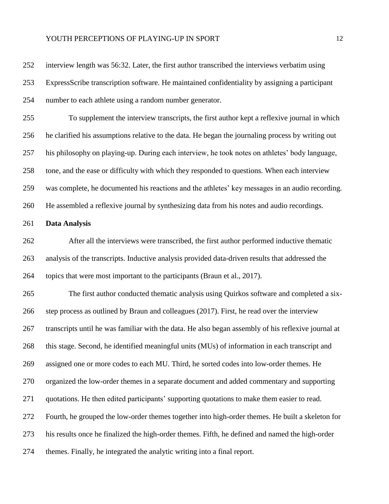interview length was 56:32. Later, the first author transcribed the interviews verbatim using ExpressScribe transcription software. He maintained confidentiality by assigning a participant number to each athlete using a random number generator. To supplement the interview transcripts, the first author kept a reflexive journal in which he clarified his assumptions relative to the data. He began the journaling process by writing out his philosophy on playing-up. During each interview, he took notes on athletes' body language, tone, and the ease or difficulty with which they responded to questions. When each interview was complete, he documented his reactions and the athletes' key messages in an audio recording. He assembled a reflexive journal by synthesizing data from his notes and audio recordings. **Data Analysis** After all the interviews were transcribed, the first author performed inductive thematic analysis of the transcripts. Inductive analysis provided data-driven results that addressed the topics that were most important to the participants (Braun et al., 2017). The first author conducted thematic analysis using Quirkos software and completed a six- step process as outlined by Braun and colleagues (2017). First, he read over the interview transcripts until he was familiar with the data. He also began assembly of his reflexive journal at this stage. Second, he identified meaningful units (MUs) of information in each transcript and assigned one or more codes to each MU. Third, he sorted codes into low-order themes. He organized the low-order themes in a separate document and added commentary and supporting quotations. He then edited participants' supporting quotations to make them easier to read. Fourth, he grouped the low-order themes together into high-order themes. He built a skeleton for his results once he finalized the high-order themes. Fifth, he defined and named the high-order themes. Finally, he integrated the analytic writing into a final report.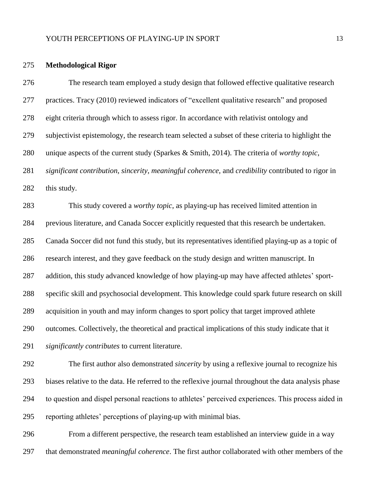#### **Methodological Rigor**

 The research team employed a study design that followed effective qualitative research practices. Tracy (2010) reviewed indicators of "excellent qualitative research" and proposed eight criteria through which to assess rigor. In accordance with relativist ontology and subjectivist epistemology, the research team selected a subset of these criteria to highlight the unique aspects of the current study (Sparkes & Smith, 2014). The criteria of *worthy topic*, *significant contribution*, *sincerity*, *meaningful coherence*, and *credibility* contributed to rigor in this study.

 This study covered a *worthy topic*, as playing-up has received limited attention in previous literature, and Canada Soccer explicitly requested that this research be undertaken. Canada Soccer did not fund this study, but its representatives identified playing-up as a topic of research interest, and they gave feedback on the study design and written manuscript. In addition, this study advanced knowledge of how playing-up may have affected athletes' sport- specific skill and psychosocial development. This knowledge could spark future research on skill acquisition in youth and may inform changes to sport policy that target improved athlete outcomes. Collectively, the theoretical and practical implications of this study indicate that it *significantly contributes* to current literature.

 The first author also demonstrated *sincerity* by using a reflexive journal to recognize his biases relative to the data. He referred to the reflexive journal throughout the data analysis phase to question and dispel personal reactions to athletes' perceived experiences. This process aided in reporting athletes' perceptions of playing-up with minimal bias.

 From a different perspective, the research team established an interview guide in a way that demonstrated *meaningful coherence*. The first author collaborated with other members of the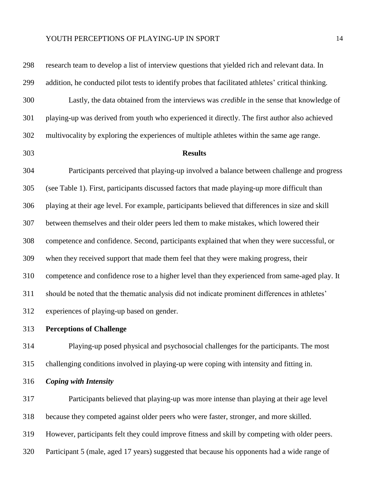research team to develop a list of interview questions that yielded rich and relevant data. In addition, he conducted pilot tests to identify probes that facilitated athletes' critical thinking. Lastly, the data obtained from the interviews was *credible* in the sense that knowledge of playing-up was derived from youth who experienced it directly. The first author also achieved multivocality by exploring the experiences of multiple athletes within the same age range.

#### **Results**

 Participants perceived that playing-up involved a balance between challenge and progress (see Table 1). First, participants discussed factors that made playing-up more difficult than playing at their age level. For example, participants believed that differences in size and skill between themselves and their older peers led them to make mistakes, which lowered their competence and confidence. Second, participants explained that when they were successful, or when they received support that made them feel that they were making progress, their competence and confidence rose to a higher level than they experienced from same-aged play. It should be noted that the thematic analysis did not indicate prominent differences in athletes' experiences of playing-up based on gender.

### **Perceptions of Challenge**

 Playing-up posed physical and psychosocial challenges for the participants. The most challenging conditions involved in playing-up were coping with intensity and fitting in.

*Coping with Intensity*

 Participants believed that playing-up was more intense than playing at their age level because they competed against older peers who were faster, stronger, and more skilled. However, participants felt they could improve fitness and skill by competing with older peers. Participant 5 (male, aged 17 years) suggested that because his opponents had a wide range of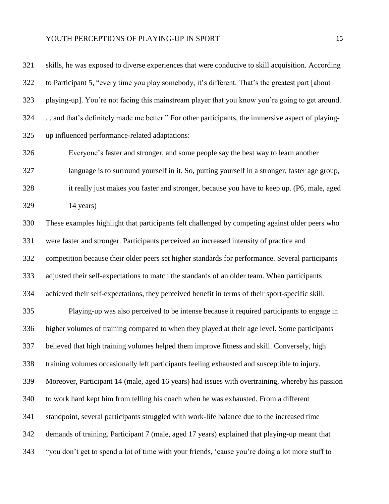skills, he was exposed to diverse experiences that were conducive to skill acquisition. According to Participant 5, "every time you play somebody, it's different. That's the greatest part [about playing-up]. You're not facing this mainstream player that you know you're going to get around. . . and that's definitely made me better." For other participants, the immersive aspect of playing- up influenced performance-related adaptations: Everyone's faster and stronger, and some people say the best way to learn another language is to surround yourself in it. So, putting yourself in a stronger, faster age group, it really just makes you faster and stronger, because you have to keep up. (P6, male, aged 14 years) These examples highlight that participants felt challenged by competing against older peers who were faster and stronger. Participants perceived an increased intensity of practice and competition because their older peers set higher standards for performance. Several participants adjusted their self-expectations to match the standards of an older team. When participants achieved their self-expectations, they perceived benefit in terms of their sport-specific skill. Playing-up was also perceived to be intense because it required participants to engage in higher volumes of training compared to when they played at their age level. Some participants believed that high training volumes helped them improve fitness and skill. Conversely, high training volumes occasionally left participants feeling exhausted and susceptible to injury. Moreover, Participant 14 (male, aged 16 years) had issues with overtraining, whereby his passion to work hard kept him from telling his coach when he was exhausted. From a different standpoint, several participants struggled with work-life balance due to the increased time demands of training. Participant 7 (male, aged 17 years) explained that playing-up meant that "you don't get to spend a lot of time with your friends, 'cause you're doing a lot more stuff to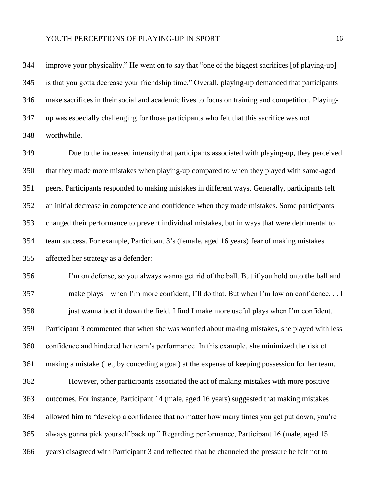improve your physicality." He went on to say that "one of the biggest sacrifices [of playing-up] is that you gotta decrease your friendship time." Overall, playing-up demanded that participants make sacrifices in their social and academic lives to focus on training and competition. Playing- up was especially challenging for those participants who felt that this sacrifice was not worthwhile.

 Due to the increased intensity that participants associated with playing-up, they perceived that they made more mistakes when playing-up compared to when they played with same-aged peers. Participants responded to making mistakes in different ways. Generally, participants felt an initial decrease in competence and confidence when they made mistakes. Some participants changed their performance to prevent individual mistakes, but in ways that were detrimental to team success. For example, Participant 3's (female, aged 16 years) fear of making mistakes affected her strategy as a defender:

 I'm on defense, so you always wanna get rid of the ball. But if you hold onto the ball and make plays—when I'm more confident, I'll do that. But when I'm low on confidence. . . I just wanna boot it down the field. I find I make more useful plays when I'm confident. Participant 3 commented that when she was worried about making mistakes, she played with less confidence and hindered her team's performance. In this example, she minimized the risk of making a mistake (i.e., by conceding a goal) at the expense of keeping possession for her team. However, other participants associated the act of making mistakes with more positive

 outcomes. For instance, Participant 14 (male, aged 16 years) suggested that making mistakes allowed him to "develop a confidence that no matter how many times you get put down, you're always gonna pick yourself back up." Regarding performance, Participant 16 (male, aged 15 years) disagreed with Participant 3 and reflected that he channeled the pressure he felt not to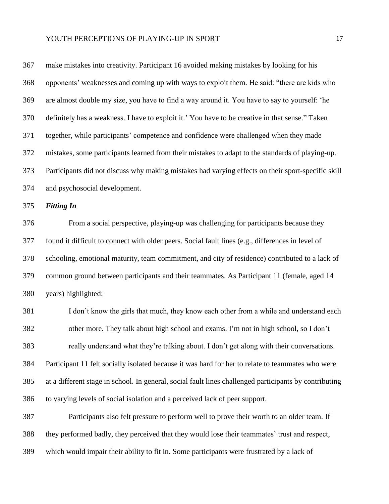| 367 | make mistakes into creativity. Participant 16 avoided making mistakes by looking for his               |
|-----|--------------------------------------------------------------------------------------------------------|
| 368 | opponents' weaknesses and coming up with ways to exploit them. He said: "there are kids who            |
| 369 | are almost double my size, you have to find a way around it. You have to say to yourself: 'he          |
| 370 | definitely has a weakness. I have to exploit it.' You have to be creative in that sense." Taken        |
| 371 | together, while participants' competence and confidence were challenged when they made                 |
| 372 | mistakes, some participants learned from their mistakes to adapt to the standards of playing-up.       |
| 373 | Participants did not discuss why making mistakes had varying effects on their sport-specific skill     |
| 374 | and psychosocial development.                                                                          |
| 375 | <b>Fitting In</b>                                                                                      |
| 376 | From a social perspective, playing-up was challenging for participants because they                    |
| 377 | found it difficult to connect with older peers. Social fault lines (e.g., differences in level of      |
| 378 | schooling, emotional maturity, team commitment, and city of residence) contributed to a lack of        |
| 379 | common ground between participants and their teammates. As Participant 11 (female, aged 14             |
| 380 | years) highlighted:                                                                                    |
| 381 | I don't know the girls that much, they know each other from a while and understand each                |
| 382 | other more. They talk about high school and exams. I'm not in high school, so I don't                  |
| 383 | really understand what they're talking about. I don't get along with their conversations.              |
| 384 | Participant 11 felt socially isolated because it was hard for her to relate to teammates who were      |
| 385 | at a different stage in school. In general, social fault lines challenged participants by contributing |
| 386 | to varying levels of social isolation and a perceived lack of peer support.                            |
| 387 | Participants also felt pressure to perform well to prove their worth to an older team. If              |
| 388 | they performed badly, they perceived that they would lose their teammates' trust and respect,          |
| 389 | which would impair their ability to fit in. Some participants were frustrated by a lack of             |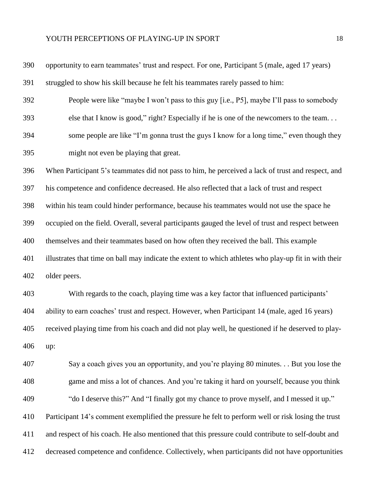| 390 | opportunity to earn teammates' trust and respect. For one, Participant 5 (male, aged 17 years)        |
|-----|-------------------------------------------------------------------------------------------------------|
| 391 | struggled to show his skill because he felt his teammates rarely passed to him:                       |
| 392 | People were like "maybe I won't pass to this guy [i.e., P5], maybe I'll pass to somebody              |
| 393 | else that I know is good," right? Especially if he is one of the newcomers to the team                |
| 394 | some people are like "I'm gonna trust the guys I know for a long time," even though they              |
| 395 | might not even be playing that great.                                                                 |
| 396 | When Participant 5's teammates did not pass to him, he perceived a lack of trust and respect, and     |
| 397 | his competence and confidence decreased. He also reflected that a lack of trust and respect           |
| 398 | within his team could hinder performance, because his teammates would not use the space he            |
| 399 | occupied on the field. Overall, several participants gauged the level of trust and respect between    |
| 400 | themselves and their teammates based on how often they received the ball. This example                |
| 401 | illustrates that time on ball may indicate the extent to which athletes who play-up fit in with their |
| 402 | older peers.                                                                                          |
| 403 | With regards to the coach, playing time was a key factor that influenced participants'                |
| 404 | ability to earn coaches' trust and respect. However, when Participant 14 (male, aged 16 years)        |
| 405 | received playing time from his coach and did not play well, he questioned if he deserved to play-     |
| 406 | up:                                                                                                   |
| 407 | Say a coach gives you an opportunity, and you're playing 80 minutes But you lose the                  |
| 408 | game and miss a lot of chances. And you're taking it hard on yourself, because you think              |
| 409 | "do I deserve this?" And "I finally got my chance to prove myself, and I messed it up."               |
| 410 | Participant 14's comment exemplified the pressure he felt to perform well or risk losing the trust    |
| 411 | and respect of his coach. He also mentioned that this pressure could contribute to self-doubt and     |
| 412 | decreased competence and confidence. Collectively, when participants did not have opportunities       |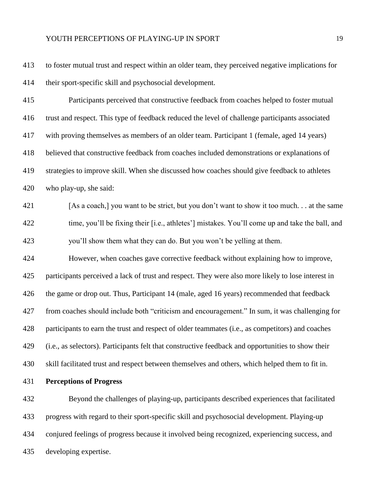to foster mutual trust and respect within an older team, they perceived negative implications for their sport-specific skill and psychosocial development.

 Participants perceived that constructive feedback from coaches helped to foster mutual trust and respect. This type of feedback reduced the level of challenge participants associated with proving themselves as members of an older team. Participant 1 (female, aged 14 years) believed that constructive feedback from coaches included demonstrations or explanations of strategies to improve skill. When she discussed how coaches should give feedback to athletes who play-up, she said:

 [As a coach,] you want to be strict, but you don't want to show it too much. . . at the same time, you'll be fixing their [i.e., athletes'] mistakes. You'll come up and take the ball, and you'll show them what they can do. But you won't be yelling at them.

 However, when coaches gave corrective feedback without explaining how to improve, participants perceived a lack of trust and respect. They were also more likely to lose interest in the game or drop out. Thus, Participant 14 (male, aged 16 years) recommended that feedback from coaches should include both "criticism and encouragement." In sum, it was challenging for participants to earn the trust and respect of older teammates (i.e., as competitors) and coaches (i.e., as selectors). Participants felt that constructive feedback and opportunities to show their skill facilitated trust and respect between themselves and others, which helped them to fit in.

**Perceptions of Progress**

 Beyond the challenges of playing-up, participants described experiences that facilitated progress with regard to their sport-specific skill and psychosocial development. Playing-up conjured feelings of progress because it involved being recognized, experiencing success, and developing expertise.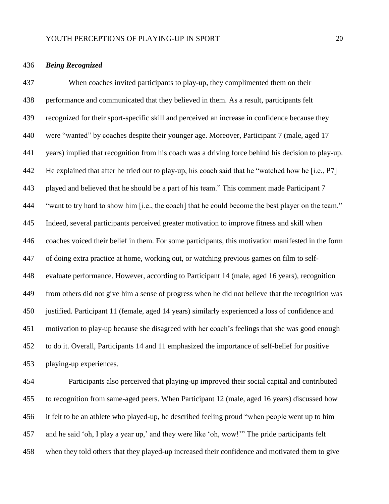#### *Being Recognized*

 When coaches invited participants to play-up, they complimented them on their performance and communicated that they believed in them. As a result, participants felt recognized for their sport-specific skill and perceived an increase in confidence because they were "wanted" by coaches despite their younger age. Moreover, Participant 7 (male, aged 17 years) implied that recognition from his coach was a driving force behind his decision to play-up. He explained that after he tried out to play-up, his coach said that he "watched how he [i.e., P7] played and believed that he should be a part of his team." This comment made Participant 7 "want to try hard to show him [i.e., the coach] that he could become the best player on the team." Indeed, several participants perceived greater motivation to improve fitness and skill when coaches voiced their belief in them. For some participants, this motivation manifested in the form of doing extra practice at home, working out, or watching previous games on film to self- evaluate performance. However, according to Participant 14 (male, aged 16 years), recognition from others did not give him a sense of progress when he did not believe that the recognition was justified. Participant 11 (female, aged 14 years) similarly experienced a loss of confidence and motivation to play-up because she disagreed with her coach's feelings that she was good enough to do it. Overall, Participants 14 and 11 emphasized the importance of self-belief for positive playing-up experiences.

 Participants also perceived that playing-up improved their social capital and contributed to recognition from same-aged peers. When Participant 12 (male, aged 16 years) discussed how it felt to be an athlete who played-up, he described feeling proud "when people went up to him and he said 'oh, I play a year up,' and they were like 'oh, wow!'" The pride participants felt when they told others that they played-up increased their confidence and motivated them to give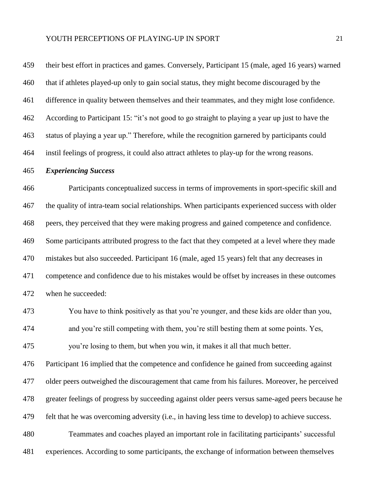their best effort in practices and games. Conversely, Participant 15 (male, aged 16 years) warned that if athletes played-up only to gain social status, they might become discouraged by the difference in quality between themselves and their teammates, and they might lose confidence. According to Participant 15: "it's not good to go straight to playing a year up just to have the status of playing a year up." Therefore, while the recognition garnered by participants could instil feelings of progress, it could also attract athletes to play-up for the wrong reasons.

#### *Experiencing Success*

 Participants conceptualized success in terms of improvements in sport-specific skill and the quality of intra-team social relationships. When participants experienced success with older peers, they perceived that they were making progress and gained competence and confidence. Some participants attributed progress to the fact that they competed at a level where they made mistakes but also succeeded. Participant 16 (male, aged 15 years) felt that any decreases in competence and confidence due to his mistakes would be offset by increases in these outcomes when he succeeded:

 You have to think positively as that you're younger, and these kids are older than you, and you're still competing with them, you're still besting them at some points. Yes, you're losing to them, but when you win, it makes it all that much better.

 Participant 16 implied that the competence and confidence he gained from succeeding against older peers outweighed the discouragement that came from his failures. Moreover, he perceived greater feelings of progress by succeeding against older peers versus same-aged peers because he felt that he was overcoming adversity (i.e., in having less time to develop) to achieve success. Teammates and coaches played an important role in facilitating participants' successful

experiences. According to some participants, the exchange of information between themselves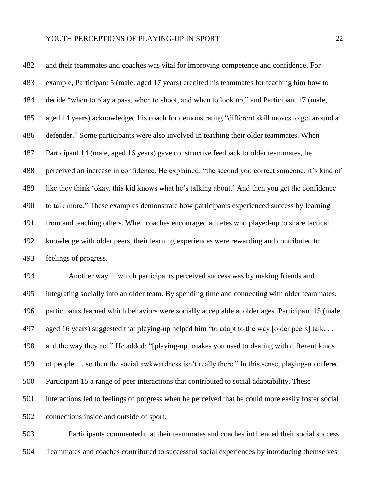and their teammates and coaches was vital for improving competence and confidence. For example, Participant 5 (male, aged 17 years) credited his teammates for teaching him how to decide "when to play a pass, when to shoot, and when to look up," and Participant 17 (male, aged 14 years) acknowledged his coach for demonstrating "different skill moves to get around a defender." Some participants were also involved in teaching their older teammates. When Participant 14 (male, aged 16 years) gave constructive feedback to older teammates, he perceived an increase in confidence. He explained: "the second you correct someone, it's kind of like they think 'okay, this kid knows what he's talking about.' And then you get the confidence to talk more." These examples demonstrate how participants experienced success by learning from and teaching others. When coaches encouraged athletes who played-up to share tactical knowledge with older peers, their learning experiences were rewarding and contributed to feelings of progress.

 Another way in which participants perceived success was by making friends and integrating socially into an older team. By spending time and connecting with older teammates, participants learned which behaviors were socially acceptable at older ages. Participant 15 (male, aged 16 years) suggested that playing-up helped him "to adapt to the way [older peers] talk. . . and the way they act." He added: "[playing-up] makes you used to dealing with different kinds of people. . . so then the social awkwardness isn't really there." In this sense, playing-up offered Participant 15 a range of peer interactions that contributed to social adaptability. These interactions led to feelings of progress when he perceived that he could more easily foster social connections inside and outside of sport.

 Participants commented that their teammates and coaches influenced their social success. Teammates and coaches contributed to successful social experiences by introducing themselves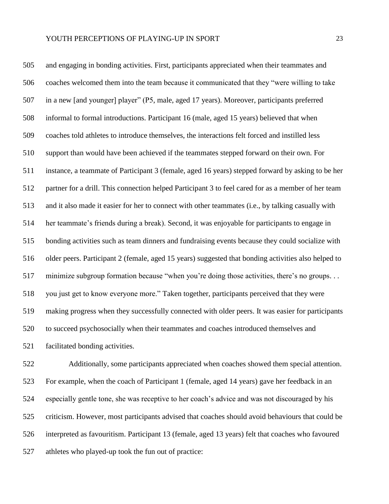and engaging in bonding activities. First, participants appreciated when their teammates and coaches welcomed them into the team because it communicated that they "were willing to take in a new [and younger] player" (P5, male, aged 17 years). Moreover, participants preferred informal to formal introductions. Participant 16 (male, aged 15 years) believed that when coaches told athletes to introduce themselves, the interactions felt forced and instilled less support than would have been achieved if the teammates stepped forward on their own. For instance, a teammate of Participant 3 (female, aged 16 years) stepped forward by asking to be her partner for a drill. This connection helped Participant 3 to feel cared for as a member of her team and it also made it easier for her to connect with other teammates (i.e., by talking casually with her teammate's friends during a break). Second, it was enjoyable for participants to engage in bonding activities such as team dinners and fundraising events because they could socialize with older peers. Participant 2 (female, aged 15 years) suggested that bonding activities also helped to minimize subgroup formation because "when you're doing those activities, there's no groups. . . you just get to know everyone more." Taken together, participants perceived that they were making progress when they successfully connected with older peers. It was easier for participants to succeed psychosocially when their teammates and coaches introduced themselves and facilitated bonding activities.

 Additionally, some participants appreciated when coaches showed them special attention. For example, when the coach of Participant 1 (female, aged 14 years) gave her feedback in an especially gentle tone, she was receptive to her coach's advice and was not discouraged by his criticism. However, most participants advised that coaches should avoid behaviours that could be interpreted as favouritism. Participant 13 (female, aged 13 years) felt that coaches who favoured athletes who played-up took the fun out of practice: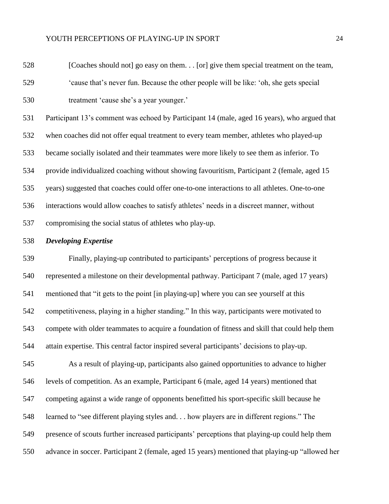[Coaches should not] go easy on them. . . [or] give them special treatment on the team, 'cause that's never fun. Because the other people will be like: 'oh, she gets special treatment 'cause she's a year younger.'

 Participant 13's comment was echoed by Participant 14 (male, aged 16 years), who argued that when coaches did not offer equal treatment to every team member, athletes who played-up became socially isolated and their teammates were more likely to see them as inferior. To provide individualized coaching without showing favouritism, Participant 2 (female, aged 15 years) suggested that coaches could offer one-to-one interactions to all athletes. One-to-one interactions would allow coaches to satisfy athletes' needs in a discreet manner, without compromising the social status of athletes who play-up.

#### *Developing Expertise*

 Finally, playing-up contributed to participants' perceptions of progress because it represented a milestone on their developmental pathway. Participant 7 (male, aged 17 years) mentioned that "it gets to the point [in playing-up] where you can see yourself at this competitiveness, playing in a higher standing." In this way, participants were motivated to compete with older teammates to acquire a foundation of fitness and skill that could help them attain expertise. This central factor inspired several participants' decisions to play-up. As a result of playing-up, participants also gained opportunities to advance to higher levels of competition. As an example, Participant 6 (male, aged 14 years) mentioned that competing against a wide range of opponents benefitted his sport-specific skill because he learned to "see different playing styles and. . . how players are in different regions." The presence of scouts further increased participants' perceptions that playing-up could help them

advance in soccer. Participant 2 (female, aged 15 years) mentioned that playing-up "allowed her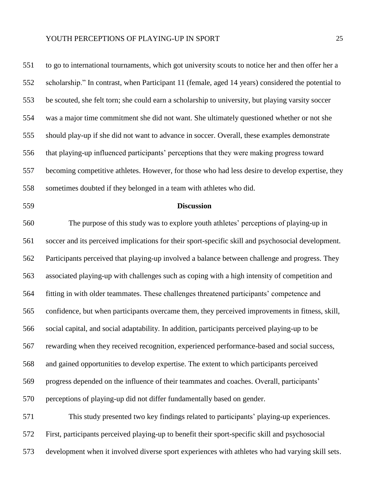to go to international tournaments, which got university scouts to notice her and then offer her a scholarship." In contrast, when Participant 11 (female, aged 14 years) considered the potential to be scouted, she felt torn; she could earn a scholarship to university, but playing varsity soccer was a major time commitment she did not want. She ultimately questioned whether or not she should play-up if she did not want to advance in soccer. Overall, these examples demonstrate that playing-up influenced participants' perceptions that they were making progress toward becoming competitive athletes. However, for those who had less desire to develop expertise, they sometimes doubted if they belonged in a team with athletes who did.

### **Discussion**

 The purpose of this study was to explore youth athletes' perceptions of playing-up in soccer and its perceived implications for their sport-specific skill and psychosocial development. Participants perceived that playing-up involved a balance between challenge and progress. They associated playing-up with challenges such as coping with a high intensity of competition and fitting in with older teammates. These challenges threatened participants' competence and confidence, but when participants overcame them, they perceived improvements in fitness, skill, social capital, and social adaptability. In addition, participants perceived playing-up to be rewarding when they received recognition, experienced performance-based and social success, and gained opportunities to develop expertise. The extent to which participants perceived progress depended on the influence of their teammates and coaches. Overall, participants' perceptions of playing-up did not differ fundamentally based on gender. This study presented two key findings related to participants' playing-up experiences.

 First, participants perceived playing-up to benefit their sport-specific skill and psychosocial development when it involved diverse sport experiences with athletes who had varying skill sets.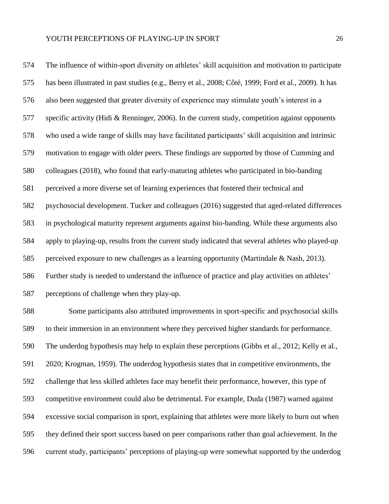The influence of within-sport diversity on athletes' skill acquisition and motivation to participate has been illustrated in past studies (e.g., Berry et al., 2008; Côté, 1999; Ford et al., 2009). It has also been suggested that greater diversity of experience may stimulate youth's interest in a specific activity (Hidi & Renninger, 2006). In the current study, competition against opponents who used a wide range of skills may have facilitated participants' skill acquisition and intrinsic motivation to engage with older peers. These findings are supported by those of Cumming and colleagues (2018), who found that early-maturing athletes who participated in bio-banding perceived a more diverse set of learning experiences that fostered their technical and psychosocial development. Tucker and colleagues (2016) suggested that aged-related differences in psychological maturity represent arguments against bio-banding. While these arguments also apply to playing-up, results from the current study indicated that several athletes who played-up perceived exposure to new challenges as a learning opportunity (Martindale & Nash, 2013). Further study is needed to understand the influence of practice and play activities on athletes' perceptions of challenge when they play-up.

 Some participants also attributed improvements in sport-specific and psychosocial skills to their immersion in an environment where they perceived higher standards for performance. The underdog hypothesis may help to explain these perceptions (Gibbs et al., 2012; Kelly et al., 2020; Krogman, 1959). The underdog hypothesis states that in competitive environments, the challenge that less skilled athletes face may benefit their performance, however, this type of competitive environment could also be detrimental. For example, Duda (1987) warned against excessive social comparison in sport, explaining that athletes were more likely to burn out when they defined their sport success based on peer comparisons rather than goal achievement. In the current study, participants' perceptions of playing-up were somewhat supported by the underdog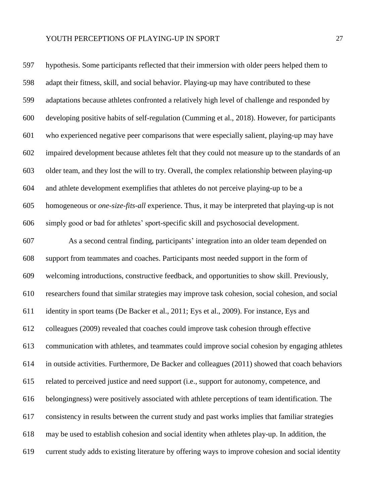hypothesis. Some participants reflected that their immersion with older peers helped them to adapt their fitness, skill, and social behavior. Playing-up may have contributed to these adaptations because athletes confronted a relatively high level of challenge and responded by developing positive habits of self-regulation (Cumming et al., 2018). However, for participants who experienced negative peer comparisons that were especially salient, playing-up may have impaired development because athletes felt that they could not measure up to the standards of an older team, and they lost the will to try. Overall, the complex relationship between playing-up and athlete development exemplifies that athletes do not perceive playing-up to be a homogeneous or *one-size-fits-all* experience. Thus, it may be interpreted that playing-up is not simply good or bad for athletes' sport-specific skill and psychosocial development. As a second central finding, participants' integration into an older team depended on support from teammates and coaches. Participants most needed support in the form of welcoming introductions, constructive feedback, and opportunities to show skill. Previously, researchers found that similar strategies may improve task cohesion, social cohesion, and social identity in sport teams (De Backer et al., 2011; Eys et al., 2009). For instance, Eys and colleagues (2009) revealed that coaches could improve task cohesion through effective communication with athletes, and teammates could improve social cohesion by engaging athletes in outside activities. Furthermore, De Backer and colleagues (2011) showed that coach behaviors related to perceived justice and need support (i.e., support for autonomy, competence, and belongingness) were positively associated with athlete perceptions of team identification. The consistency in results between the current study and past works implies that familiar strategies may be used to establish cohesion and social identity when athletes play-up. In addition, the current study adds to existing literature by offering ways to improve cohesion and social identity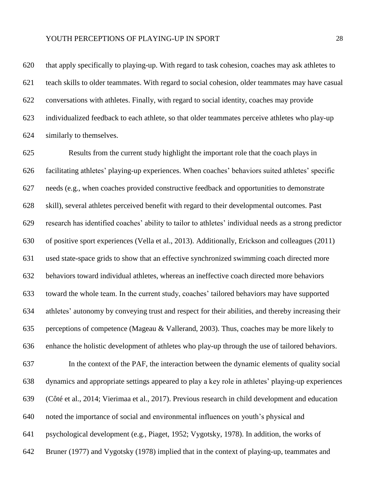that apply specifically to playing-up. With regard to task cohesion, coaches may ask athletes to teach skills to older teammates. With regard to social cohesion, older teammates may have casual conversations with athletes. Finally, with regard to social identity, coaches may provide individualized feedback to each athlete, so that older teammates perceive athletes who play-up similarly to themselves.

 Results from the current study highlight the important role that the coach plays in facilitating athletes' playing-up experiences. When coaches' behaviors suited athletes' specific needs (e.g., when coaches provided constructive feedback and opportunities to demonstrate skill), several athletes perceived benefit with regard to their developmental outcomes. Past research has identified coaches' ability to tailor to athletes' individual needs as a strong predictor of positive sport experiences (Vella et al., 2013). Additionally, Erickson and colleagues (2011) used state-space grids to show that an effective synchronized swimming coach directed more behaviors toward individual athletes, whereas an ineffective coach directed more behaviors toward the whole team. In the current study, coaches' tailored behaviors may have supported athletes' autonomy by conveying trust and respect for their abilities, and thereby increasing their perceptions of competence (Mageau & Vallerand, 2003). Thus, coaches may be more likely to enhance the holistic development of athletes who play-up through the use of tailored behaviors. In the context of the PAF, the interaction between the dynamic elements of quality social dynamics and appropriate settings appeared to play a key role in athletes' playing-up experiences (Côté et al., 2014; Vierimaa et al., 2017). Previous research in child development and education noted the importance of social and environmental influences on youth's physical and psychological development (e.g., Piaget, 1952; Vygotsky, 1978). In addition, the works of Bruner (1977) and Vygotsky (1978) implied that in the context of playing-up, teammates and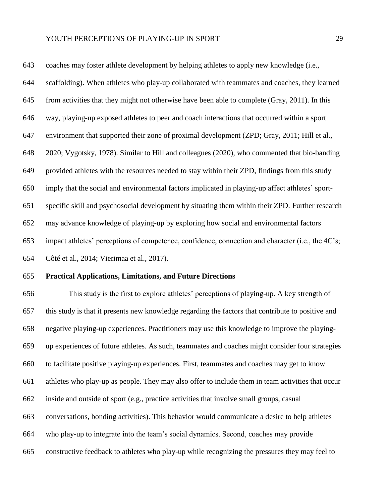coaches may foster athlete development by helping athletes to apply new knowledge (i.e., scaffolding). When athletes who play-up collaborated with teammates and coaches, they learned from activities that they might not otherwise have been able to complete (Gray, 2011). In this way, playing-up exposed athletes to peer and coach interactions that occurred within a sport environment that supported their zone of proximal development (ZPD; Gray, 2011; Hill et al., 2020; Vygotsky, 1978). Similar to Hill and colleagues (2020), who commented that bio-banding provided athletes with the resources needed to stay within their ZPD, findings from this study imply that the social and environmental factors implicated in playing-up affect athletes' sport- specific skill and psychosocial development by situating them within their ZPD. Further research may advance knowledge of playing-up by exploring how social and environmental factors impact athletes' perceptions of competence, confidence, connection and character (i.e., the 4C's; Côté et al., 2014; Vierimaa et al., 2017).

#### **Practical Applications, Limitations, and Future Directions**

 This study is the first to explore athletes' perceptions of playing-up. A key strength of this study is that it presents new knowledge regarding the factors that contribute to positive and negative playing-up experiences. Practitioners may use this knowledge to improve the playing- up experiences of future athletes. As such, teammates and coaches might consider four strategies to facilitate positive playing-up experiences. First, teammates and coaches may get to know athletes who play-up as people. They may also offer to include them in team activities that occur inside and outside of sport (e.g., practice activities that involve small groups, casual conversations, bonding activities). This behavior would communicate a desire to help athletes who play-up to integrate into the team's social dynamics. Second, coaches may provide constructive feedback to athletes who play-up while recognizing the pressures they may feel to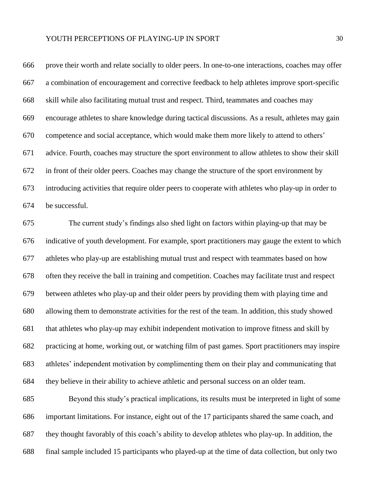| 666 | prove their worth and relate socially to older peers. In one-to-one interactions, coaches may offer |
|-----|-----------------------------------------------------------------------------------------------------|
| 667 | a combination of encouragement and corrective feedback to help athletes improve sport-specific      |
| 668 | skill while also facilitating mutual trust and respect. Third, teammates and coaches may            |
| 669 | encourage athletes to share knowledge during tactical discussions. As a result, athletes may gain   |
| 670 | competence and social acceptance, which would make them more likely to attend to others'            |
| 671 | advice. Fourth, coaches may structure the sport environment to allow athletes to show their skill   |
| 672 | in front of their older peers. Coaches may change the structure of the sport environment by         |
| 673 | introducing activities that require older peers to cooperate with athletes who play-up in order to  |
| 674 | be successful.                                                                                      |
| 675 | The current study's findings also shed light on factors within playing-up that may be               |
| 676 | indicative of youth development. For example, sport practitioners may gauge the extent to which     |
| 677 | athletes who play-up are establishing mutual trust and respect with teammates based on how          |
| 678 | often they receive the ball in training and competition. Coaches may facilitate trust and respect   |
| 679 | between athletes who play-up and their older peers by providing them with playing time and          |
| 680 | allowing them to demonstrate activities for the rest of the team. In addition, this study showed    |
| 681 | that athletes who play-up may exhibit independent motivation to improve fitness and skill by        |
| 682 | practicing at home, working out, or watching film of past games. Sport practitioners may inspire    |
| 683 | athletes' independent motivation by complimenting them on their play and communicating that         |
| 684 | they believe in their ability to achieve athletic and personal success on an older team.            |
|     |                                                                                                     |

 Beyond this study's practical implications, its results must be interpreted in light of some important limitations. For instance, eight out of the 17 participants shared the same coach, and they thought favorably of this coach's ability to develop athletes who play-up. In addition, the final sample included 15 participants who played-up at the time of data collection, but only two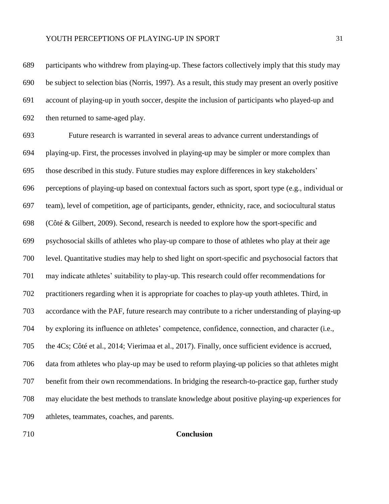participants who withdrew from playing-up. These factors collectively imply that this study may be subject to selection bias (Norris, 1997). As a result, this study may present an overly positive account of playing-up in youth soccer, despite the inclusion of participants who played-up and then returned to same-aged play.

 Future research is warranted in several areas to advance current understandings of playing-up. First, the processes involved in playing-up may be simpler or more complex than those described in this study. Future studies may explore differences in key stakeholders' perceptions of playing-up based on contextual factors such as sport, sport type (e.g., individual or team), level of competition, age of participants, gender, ethnicity, race, and sociocultural status (Côté & Gilbert, 2009). Second, research is needed to explore how the sport-specific and psychosocial skills of athletes who play-up compare to those of athletes who play at their age level. Quantitative studies may help to shed light on sport-specific and psychosocial factors that may indicate athletes' suitability to play-up. This research could offer recommendations for practitioners regarding when it is appropriate for coaches to play-up youth athletes. Third, in accordance with the PAF, future research may contribute to a richer understanding of playing-up by exploring its influence on athletes' competence, confidence, connection, and character (i.e., the 4Cs; Côté et al., 2014; Vierimaa et al., 2017). Finally, once sufficient evidence is accrued, data from athletes who play-up may be used to reform playing-up policies so that athletes might benefit from their own recommendations. In bridging the research-to-practice gap, further study may elucidate the best methods to translate knowledge about positive playing-up experiences for athletes, teammates, coaches, and parents.

#### **Conclusion**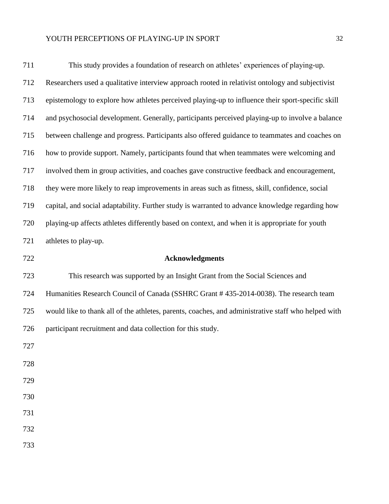| 711 | This study provides a foundation of research on athletes' experiences of playing-up.                |
|-----|-----------------------------------------------------------------------------------------------------|
| 712 | Researchers used a qualitative interview approach rooted in relativist ontology and subjectivist    |
| 713 | epistemology to explore how athletes perceived playing-up to influence their sport-specific skill   |
| 714 | and psychosocial development. Generally, participants perceived playing-up to involve a balance     |
| 715 | between challenge and progress. Participants also offered guidance to teammates and coaches on      |
| 716 | how to provide support. Namely, participants found that when teammates were welcoming and           |
| 717 | involved them in group activities, and coaches gave constructive feedback and encouragement,        |
| 718 | they were more likely to reap improvements in areas such as fitness, skill, confidence, social      |
| 719 | capital, and social adaptability. Further study is warranted to advance knowledge regarding how     |
| 720 | playing-up affects athletes differently based on context, and when it is appropriate for youth      |
| 721 | athletes to play-up.                                                                                |
| 722 | <b>Acknowledgments</b>                                                                              |
| 723 | This research was supported by an Insight Grant from the Social Sciences and                        |
| 724 | Humanities Research Council of Canada (SSHRC Grant #435-2014-0038). The research team               |
| 725 | would like to thank all of the athletes, parents, coaches, and administrative staff who helped with |
| 726 | participant recruitment and data collection for this study.                                         |
| 727 |                                                                                                     |
| 728 |                                                                                                     |
| 729 |                                                                                                     |
| 730 |                                                                                                     |
| 731 |                                                                                                     |
| 732 |                                                                                                     |
| 733 |                                                                                                     |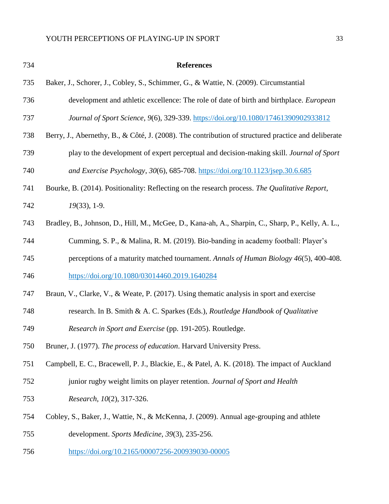| 734 | <b>References</b>                                                                                   |
|-----|-----------------------------------------------------------------------------------------------------|
| 735 | Baker, J., Schorer, J., Cobley, S., Schimmer, G., & Wattie, N. (2009). Circumstantial               |
| 736 | development and athletic excellence: The role of date of birth and birthplace. European             |
| 737 | Journal of Sport Science, 9(6), 329-339. https://doi.org/10.1080/17461390902933812                  |
| 738 | Berry, J., Abernethy, B., & Côté, J. (2008). The contribution of structured practice and deliberate |
| 739 | play to the development of expert perceptual and decision-making skill. Journal of Sport            |
| 740 | and Exercise Psychology, 30(6), 685-708. https://doi.org/10.1123/jsep.30.6.685                      |
| 741 | Bourke, B. (2014). Positionality: Reflecting on the research process. The Qualitative Report,       |
| 742 | $19(33)$ , 1-9.                                                                                     |
| 743 | Bradley, B., Johnson, D., Hill, M., McGee, D., Kana-ah, A., Sharpin, C., Sharp, P., Kelly, A. L.,   |
| 744 | Cumming, S. P., & Malina, R. M. (2019). Bio-banding in academy football: Player's                   |
| 745 | perceptions of a maturity matched tournament. Annals of Human Biology 46(5), 400-408.               |
| 746 | https://doi.org/10.1080/03014460.2019.1640284                                                       |
| 747 | Braun, V., Clarke, V., & Weate, P. (2017). Using thematic analysis in sport and exercise            |
| 748 | research. In B. Smith & A. C. Sparkes (Eds.), Routledge Handbook of Qualitative                     |
| 749 | Research in Sport and Exercise (pp. 191-205). Routledge.                                            |
| 750 | Bruner, J. (1977). The process of education. Harvard University Press.                              |
| 751 | Campbell, E. C., Bracewell, P. J., Blackie, E., & Patel, A. K. (2018). The impact of Auckland       |
| 752 | junior rugby weight limits on player retention. Journal of Sport and Health                         |
| 753 | Research, 10(2), 317-326.                                                                           |
| 754 | Cobley, S., Baker, J., Wattie, N., & McKenna, J. (2009). Annual age-grouping and athlete            |
| 755 | development. Sports Medicine, 39(3), 235-256.                                                       |
| 756 | https://doi.org/10.2165/00007256-200939030-00005                                                    |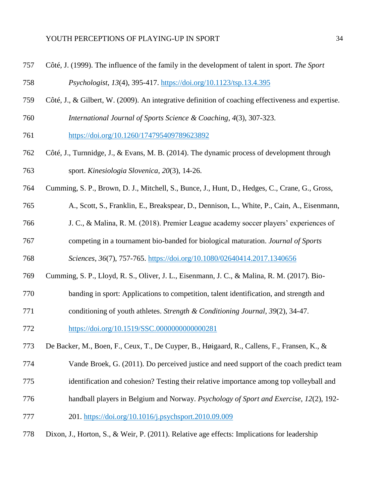- Côté, J. (1999). The influence of the family in the development of talent in sport. *The Sport*
- *Psychologist*, *13*(4), 395-417.<https://doi.org/10.1123/tsp.13.4.395>
- Côté, J., & Gilbert, W. (2009). An integrative definition of coaching effectiveness and expertise.
- *International Journal of Sports Science & Coaching*, *4*(3), 307-323.
- <https://doi.org/10.1260/174795409789623892>
- Côté, J., Turnnidge, J., & Evans, M. B. (2014). The dynamic process of development through sport. *Kinesiologia Slovenica*, *20*(3), 14-26.
- Cumming, S. P., Brown, D. J., Mitchell, S., Bunce, J., Hunt, D., Hedges, C., Crane, G., Gross,
- A., Scott, S., Franklin, E., Breakspear, D., Dennison, L., White, P., Cain, A., Eisenmann,
- J. C., & Malina, R. M. (2018). Premier League academy soccer players' experiences of
- competing in a tournament bio-banded for biological maturation. *Journal of Sports*
- *Sciences*, *36*(7), 757-765.<https://doi.org/10.1080/02640414.2017.1340656>
- Cumming, S. P., Lloyd, R. S., Oliver, J. L., Eisenmann, J. C., & Malina, R. M. (2017). Bio-
- banding in sport: Applications to competition, talent identification, and strength and
- conditioning of youth athletes. *Strength & Conditioning Journal*, *39*(2), 34-47.
- <https://doi.org/10.1519/SSC.0000000000000281>
- De Backer, M., Boen, F., Ceux, T., De Cuyper, B., Høigaard, R., Callens, F., Fransen, K., &
- Vande Broek, G. (2011). Do perceived justice and need support of the coach predict team
- identification and cohesion? Testing their relative importance among top volleyball and
- handball players in Belgium and Norway. *Psychology of Sport and Exercise*, *12*(2), 192-
- 201.<https://doi.org/10.1016/j.psychsport.2010.09.009>
- Dixon, J., Horton, S., & Weir, P. (2011). Relative age effects: Implications for leadership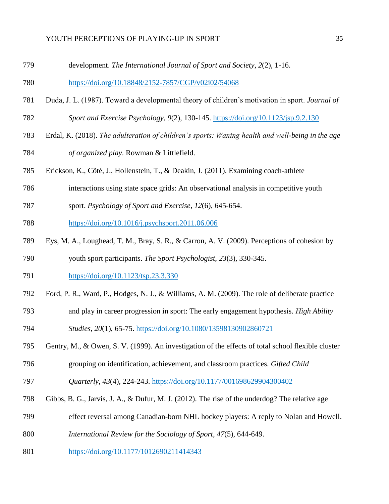development. *The International Journal of Sport and Society*, *2*(2), 1-16.

<https://doi.org/10.18848/2152-7857/CGP/v02i02/54068>

- Duda, J. L. (1987). Toward a developmental theory of children's motivation in sport. *Journal of*
- *Sport and Exercise Psychology*, *9*(2), 130-145.<https://doi.org/10.1123/jsp.9.2.130>
- Erdal, K. (2018). *The adulteration of children's sports: Waning health and well-being in the age of organized play*. Rowman & Littlefield.
- Erickson, K., Côté, J., Hollenstein, T., & Deakin, J. (2011). Examining coach-athlete
- interactions using state space grids: An observational analysis in competitive youth
- sport. *Psychology of Sport and Exercise*, *12*(6), 645-654.
- <https://doi.org/10.1016/j.psychsport.2011.06.006>
- Eys, M. A., Loughead, T. M., Bray, S. R., & Carron, A. V. (2009). Perceptions of cohesion by

youth sport participants. *The Sport Psychologist*, *23*(3), 330-345.

- <https://doi.org/10.1123/tsp.23.3.330>
- Ford, P. R., Ward, P., Hodges, N. J., & Williams, A. M. (2009). The role of deliberate practice
- and play in career progression in sport: The early engagement hypothesis. *High Ability*
- *Studies*, *20*(1), 65-75.<https://doi.org/10.1080/13598130902860721>
- Gentry, M., & Owen, S. V. (1999). An investigation of the effects of total school flexible cluster
- grouping on identification, achievement, and classroom practices. *Gifted Child*
- *Quarterly*, *43*(4), 224-243. <https://doi.org/10.1177/001698629904300402>
- Gibbs, B. G., Jarvis, J. A., & Dufur, M. J. (2012). The rise of the underdog? The relative age
- effect reversal among Canadian-born NHL hockey players: A reply to Nolan and Howell.
- *International Review for the Sociology of Sport*, *47*(5), 644-649.
- <https://doi.org/10.1177/1012690211414343>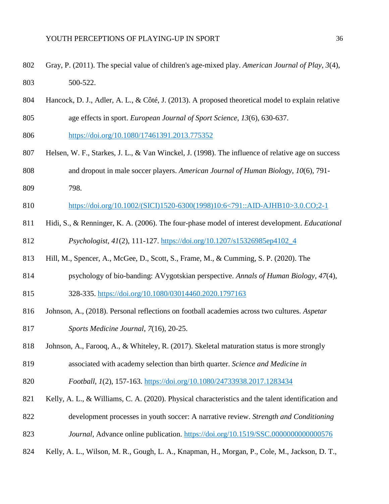- Gray, P. (2011). The special value of children's age-mixed play. *American Journal of Play*, *3*(4), 500-522.
- Hancock, D. J., Adler, A. L., & Côté, J. (2013). A proposed theoretical model to explain relative age effects in sport. *European Journal of Sport Science*, *13*(6), 630-637.
- <https://doi.org/10.1080/17461391.2013.775352>
- Helsen, W. F., Starkes, J. L., & Van Winckel, J. (1998). The influence of relative age on success and dropout in male soccer players. *American Journal of Human Biology*, *10*(6), 791-
- 798.
- [https://doi.org/10.1002/\(SICI\)1520-6300\(1998\)10:6<791::AID-AJHB10>3.0.CO;2-1](https://doi.org/10.1002/(SICI)1520-6300(1998)10:6%3c791::AID-AJHB10%3e3.0.CO;2-1)
- Hidi, S., & Renninger, K. A. (2006). The four-phase model of interest development. *Educational Psychologist*, *41*(2), 111-127. [https://doi.org/10.1207/s15326985ep4102\\_4](https://doi.org/10.1207/s15326985ep4102_4)
- Hill, M., Spencer, A., McGee, D., Scott, S., Frame, M., & Cumming, S. P. (2020). The
- psychology of bio-banding: AVygotskian perspective. *Annals of Human Biology*, *47*(4),
- 328-335.<https://doi.org/10.1080/03014460.2020.1797163>
- Johnson, A., (2018). Personal reflections on football academies across two cultures. *Aspetar*
- *Sports Medicine Journal*, *7*(16), 20-25.
- Johnson, A., Farooq, A., & Whiteley, R. (2017). Skeletal maturation status is more strongly
- associated with academy selection than birth quarter. *Science and Medicine in*
- *Football*, *1*(2), 157-163.<https://doi.org/10.1080/24733938.2017.1283434>
- Kelly, A. L., & Williams, C. A. (2020). Physical characteristics and the talent identification and
- development processes in youth soccer: A narrative review. *Strength and Conditioning*
- *Journal*, Advance online publication.<https://doi.org/10.1519/SSC.0000000000000576>
- Kelly, A. L., Wilson, M. R., Gough, L. A., Knapman, H., Morgan, P., Cole, M., Jackson, D. T.,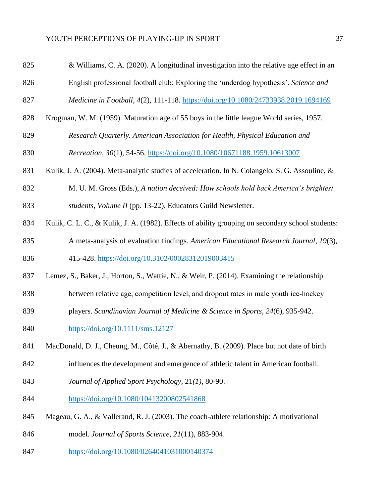| 825 | & Williams, C. A. (2020). A longitudinal investigation into the relative age effect in an         |
|-----|---------------------------------------------------------------------------------------------------|
| 826 | English professional football club: Exploring the 'underdog hypothesis'. Science and              |
| 827 | Medicine in Football, 4(2), 111-118. https://doi.org/10.1080/24733938.2019.1694169                |
| 828 | Krogman, W. M. (1959). Maturation age of 55 boys in the little league World series, 1957.         |
| 829 | Research Quarterly. American Association for Health, Physical Education and                       |
| 830 | Recreation, 30(1), 54-56. https://doi.org/10.1080/10671188.1959.10613007                          |
| 831 | Kulik, J. A. (2004). Meta-analytic studies of acceleration. In N. Colangelo, S. G. Assouline, &   |
| 832 | M. U. M. Gross (Eds.), A nation deceived: How schools hold back America's brightest               |
| 833 | students, Volume II (pp. 13-22). Educators Guild Newsletter.                                      |
| 834 | Kulik, C. L. C., & Kulik, J. A. (1982). Effects of ability grouping on secondary school students: |
| 835 | A meta-analysis of evaluation findings. American Educational Research Journal, 19(3),             |
| 836 | 415-428. https://doi.org/10.3102/00028312019003415                                                |
| 837 | Lemez, S., Baker, J., Horton, S., Wattie, N., & Weir, P. (2014). Examining the relationship       |
| 838 | between relative age, competition level, and dropout rates in male youth ice-hockey               |
| 839 | players. Scandinavian Journal of Medicine & Science in Sports, 24(6), 935-942.                    |
| 840 | https://doi.org/10.1111/sms.12127                                                                 |
| 841 | MacDonald, D. J., Cheung, M., Côté, J., & Abernathy, B. (2009). Place but not date of birth       |
| 842 | influences the development and emergence of athletic talent in American football.                 |
| 843 | Journal of Applied Sport Psychology, 21(1), 80-90.                                                |
| 844 | https://doi.org/10.1080/10413200802541868                                                         |
| 845 | Mageau, G. A., & Vallerand, R. J. (2003). The coach-athlete relationship: A motivational          |
|     |                                                                                                   |

model. *Journal of Sports Science*, *21*(11), 883-904.

<https://doi.org/10.1080/0264041031000140374>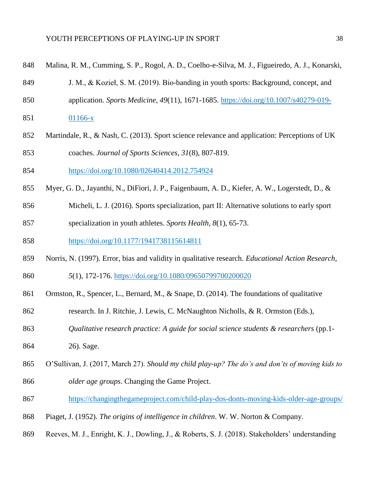| ٧<br>I  | ۰,      |
|---------|---------|
| I       | ۰.      |
| ۰.<br>٠ | ۰.<br>v |

- Malina, R. M., Cumming, S. P., Rogol, A. D., Coelho-e-Silva, M. J., Figueiredo, A. J., Konarski,
- J. M., & Kozieł, S. M. (2019). Bio-banding in youth sports: Background, concept, and
- application. *Sports Medicine*, *49*(11), 1671-1685. [https://doi.org/10.1007/s40279-019-](https://doi.org/10.1007/s40279-019-01166-x)
- [01166-x](https://doi.org/10.1007/s40279-019-01166-x)
- Martindale, R., & Nash, C. (2013). Sport science relevance and application: Perceptions of UK coaches. *Journal of Sports Sciences*, *31*(8), 807-819.
- <https://doi.org/10.1080/02640414.2012.754924>
- Myer, G. D., Jayanthi, N., DiFiori, J. P., Faigenbaum, A. D., Kiefer, A. W., Logerstedt, D., &
- Micheli, L. J. (2016). Sports specialization, part II: Alternative solutions to early sport
- specialization in youth athletes. *Sports Health, 8*(1), 65-73.
- <https://doi.org/10.1177/1941738115614811>
- Norris, N. (1997). Error, bias and validity in qualitative research. *Educational Action Research*,
- *5*(1), 172-176.<https://doi.org/10.1080/09650799700200020>
- 861 Ormston, R., Spencer, L., Bernard, M., & Snape, D. (2014). The foundations of qualitative
- research. In J. Ritchie, J. Lewis, C. McNaughton Nicholls, & R. Ormston (Eds.),
- *Qualitative research practice: A guide for social science students & researchers* (pp.1-
- 26). Sage.
- O'Sullivan, J. (2017, March 27). *Should my child play-up? The do's and don'ts of moving kids to*
- *older age groups*. Changing the Game Project.
- <https://changingthegameproject.com/child-play-dos-donts-moving-kids-older-age-groups/>
- Piaget, J. (1952). *The origins of intelligence in children*. W. W. Norton & Company.
- Reeves, M. J., Enright, K. J., Dowling, J., & Roberts, S. J. (2018). Stakeholders' understanding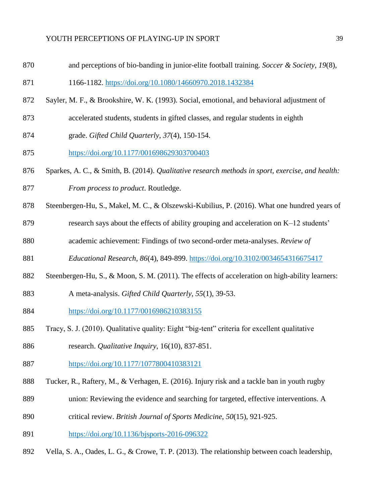and perceptions of bio-banding in junior-elite football training. *Soccer & Society*, *19*(8),

1166-1182.<https://doi.org/10.1080/14660970.2018.1432384>

- Sayler, M. F., & Brookshire, W. K. (1993). Social, emotional, and behavioral adjustment of
- accelerated students, students in gifted classes, and regular students in eighth
- grade. *Gifted Child Quarterly*, *37*(4), 150-154.
- <https://doi.org/10.1177/001698629303700403>
- Sparkes, A. C., & Smith, B. (2014). *Qualitative research methods in sport, exercise, and health: From process to product*. Routledge.
- Steenbergen-Hu, S., Makel, M. C., & Olszewski-Kubilius, P. (2016). What one hundred years of
- research says about the effects of ability grouping and acceleration on K–12 students'
- academic achievement: Findings of two second-order meta-analyses. *Review of*
- *Educational Research*, *86*(4), 849-899. <https://doi.org/10.3102/0034654316675417>
- Steenbergen-Hu, S., & Moon, S. M. (2011). The effects of acceleration on high-ability learners:
- A meta-analysis. *Gifted Child Quarterly*, *55*(1), 39-53.
- <https://doi.org/10.1177/0016986210383155>
- Tracy, S. J. (2010). Qualitative quality: Eight "big-tent" criteria for excellent qualitative
- research. *Qualitative Inquiry*, 16(10), 837-851.
- <https://doi.org/10.1177/1077800410383121>
- Tucker, R., Raftery, M., & Verhagen, E. (2016). Injury risk and a tackle ban in youth rugby
- union: Reviewing the evidence and searching for targeted, effective interventions. A
- critical review. *British Journal of Sports Medicine*, *50*(15), 921-925.
- <https://doi.org/10.1136/bjsports-2016-096322>
- Vella, S. A., Oades, L. G., & Crowe, T. P. (2013). The relationship between coach leadership,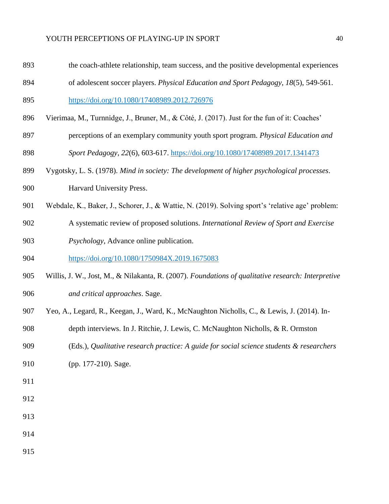- the coach-athlete relationship, team success, and the positive developmental experiences
- of adolescent soccer players. *Physical Education and Sport Pedagogy*, *18*(5), 549-561.

<https://doi.org/10.1080/17408989.2012.726976>

- Vierimaa, M., Turnnidge, J., Bruner, M., & Côté, J. (2017). Just for the fun of it: Coaches'
- perceptions of an exemplary community youth sport program. *Physical Education and Sport Pedagogy*, *22*(6), 603-617. <https://doi.org/10.1080/17408989.2017.1341473>
- Vygotsky, L. S. (1978). *Mind in society: The development of higher psychological processes*.
- Harvard University Press.
- Webdale, K., Baker, J., Schorer, J., & Wattie, N. (2019). Solving sport's 'relative age' problem:
- A systematic review of proposed solutions. *International Review of Sport and Exercise*
- *Psychology*, Advance online publication.

<https://doi.org/10.1080/1750984X.2019.1675083>

- Willis, J. W., Jost, M., & Nilakanta, R. (2007). *Foundations of qualitative research: Interpretive and critical approaches*. Sage.
- Yeo, A., Legard, R., Keegan, J., Ward, K., McNaughton Nicholls, C., & Lewis, J. (2014). In-
- depth interviews. In J. Ritchie, J. Lewis, C. McNaughton Nicholls, & R. Ormston
- (Eds.), *Qualitative research practice: A guide for social science students & researchers*
- (pp. 177-210)*.* Sage.
- 
- 
- 
- 
- 
-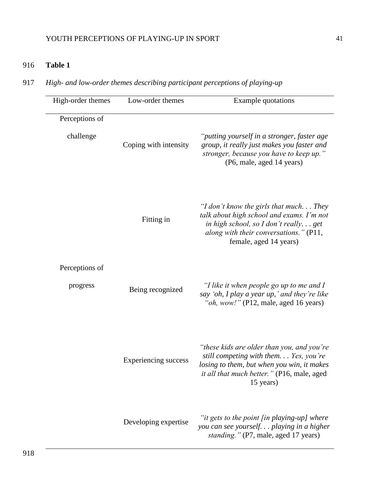# 916 **Table 1**

917 *High- and low-order themes describing participant perceptions of playing-up*

| High-order themes           | Low-order themes            | <b>Example quotations</b>                                                                                                                                                                         |
|-----------------------------|-----------------------------|---------------------------------------------------------------------------------------------------------------------------------------------------------------------------------------------------|
| Perceptions of<br>challenge | Coping with intensity       | "putting yourself in a stronger, faster age<br>group, it really just makes you faster and<br>stronger, because you have to keep up."<br>(P6, male, aged 14 years)                                 |
|                             | Fitting in                  | "I don't know the girls that much They<br>talk about high school and exams. I'm not<br>in high school, so I don't reallyget<br>along with their conversations." $(P11,$<br>female, aged 14 years) |
| Perceptions of<br>progress  | Being recognized            | "I like it when people go up to me and I<br>say 'oh, I play a year up, ' and they're like<br>"oh, wow!" (P12, male, aged 16 years)                                                                |
|                             | <b>Experiencing success</b> | "these kids are older than you, and you're<br>still competing with them. Yes, you're<br>losing to them, but when you win, it makes<br>it all that much better." (P16, male, aged<br>15 years)     |
|                             | Developing expertise        | "it gets to the point [in playing-up] where<br>you can see yourself. playing in a higher<br>standing." (P7, male, aged 17 years)                                                                  |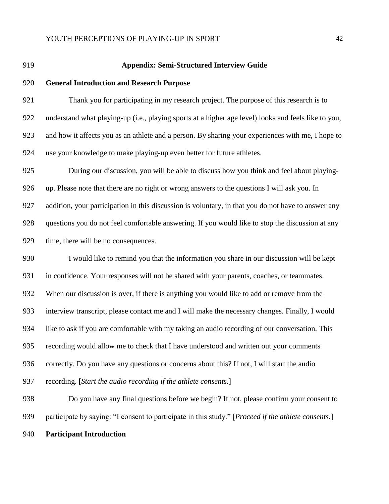

#### **Appendix: Semi-Structured Interview Guide**

#### **General Introduction and Research Purpose**

 Thank you for participating in my research project. The purpose of this research is to understand what playing-up (i.e., playing sports at a higher age level) looks and feels like to you, and how it affects you as an athlete and a person. By sharing your experiences with me, I hope to use your knowledge to make playing-up even better for future athletes.

 During our discussion, you will be able to discuss how you think and feel about playing- up. Please note that there are no right or wrong answers to the questions I will ask you. In addition, your participation in this discussion is voluntary, in that you do not have to answer any questions you do not feel comfortable answering. If you would like to stop the discussion at any time, there will be no consequences.

 I would like to remind you that the information you share in our discussion will be kept in confidence. Your responses will not be shared with your parents, coaches, or teammates. When our discussion is over, if there is anything you would like to add or remove from the interview transcript, please contact me and I will make the necessary changes. Finally, I would like to ask if you are comfortable with my taking an audio recording of our conversation. This recording would allow me to check that I have understood and written out your comments correctly. Do you have any questions or concerns about this? If not, I will start the audio recording. [*Start the audio recording if the athlete consents.*]

Do you have any final questions before we begin? If not, please confirm your consent to

participate by saying: "I consent to participate in this study." [*Proceed if the athlete consents.*]

**Participant Introduction**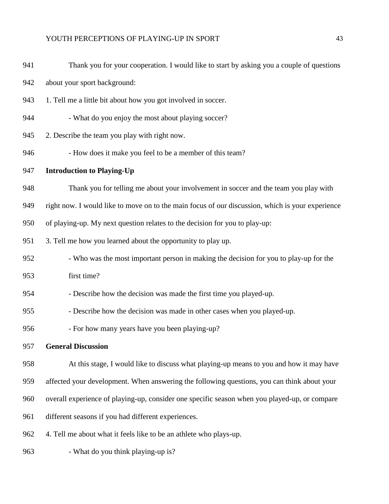| 941 | Thank you for your cooperation. I would like to start by asking you a couple of questions        |
|-----|--------------------------------------------------------------------------------------------------|
| 942 | about your sport background:                                                                     |
| 943 | 1. Tell me a little bit about how you got involved in soccer.                                    |
| 944 | - What do you enjoy the most about playing soccer?                                               |
| 945 | 2. Describe the team you play with right now.                                                    |
| 946 | - How does it make you feel to be a member of this team?                                         |
| 947 | <b>Introduction to Playing-Up</b>                                                                |
| 948 | Thank you for telling me about your involvement in soccer and the team you play with             |
| 949 | right now. I would like to move on to the main focus of our discussion, which is your experience |
| 950 | of playing-up. My next question relates to the decision for you to play-up:                      |
| 951 | 3. Tell me how you learned about the opportunity to play up.                                     |
| 952 | - Who was the most important person in making the decision for you to play-up for the            |
| 953 | first time?                                                                                      |
| 954 | - Describe how the decision was made the first time you played-up.                               |
| 955 | - Describe how the decision was made in other cases when you played-up.                          |
| 956 | - For how many years have you been playing-up?                                                   |
| 957 | <b>General Discussion</b>                                                                        |
| 958 | At this stage, I would like to discuss what playing-up means to you and how it may have          |
| 959 | affected your development. When answering the following questions, you can think about your      |
| 960 | overall experience of playing-up, consider one specific season when you played-up, or compare    |
| 961 | different seasons if you had different experiences.                                              |
| 962 | 4. Tell me about what it feels like to be an athlete who plays-up.                               |
| 963 | - What do you think playing-up is?                                                               |